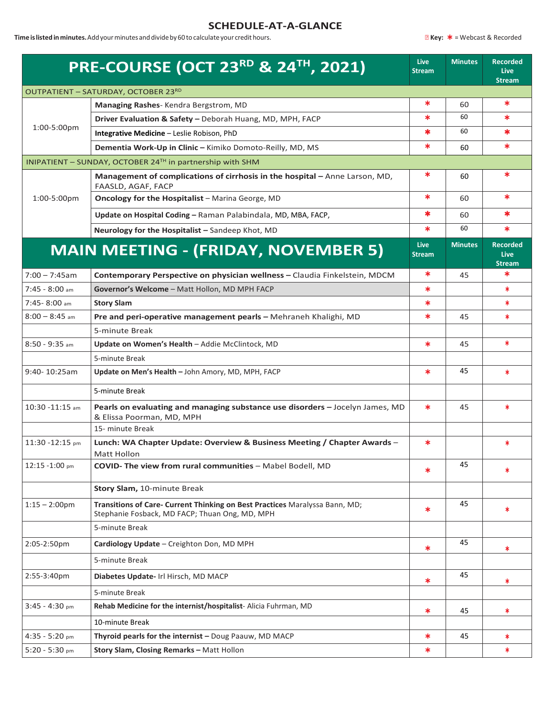## **SCHEDULE-AT-A-GLANCE**

**Time is listed in minutes.**Add your minutes and divide by 60 to calculate your credit hours. **Accorded Key: <u><b>★** = Webcast & Recorded</u>

|                    | <b>PRE-COURSE (OCT 23RD &amp; 24TH, 2021)</b>                                                                                 | <b>Live</b><br><b>Stream</b> | <b>Minutes</b> | <b>Recorded</b><br><b>Live</b><br><b>Stream</b> |
|--------------------|-------------------------------------------------------------------------------------------------------------------------------|------------------------------|----------------|-------------------------------------------------|
|                    | OUTPATIENT - SATURDAY, OCTOBER 23RD                                                                                           |                              |                |                                                 |
| 1:00-5:00pm        | Managing Rashes-Kendra Bergstrom, MD                                                                                          | ∗                            | 60             | $\ast$                                          |
|                    | Driver Evaluation & Safety - Deborah Huang, MD, MPH, FACP                                                                     | ∗                            | 60             | $\ast$                                          |
|                    | Integrative Medicine - Leslie Robison, PhD                                                                                    | *                            | 60             | $\ast$                                          |
|                    | Dementia Work-Up in Clinic - Kimiko Domoto-Reilly, MD, MS                                                                     | $\ast$                       | 60             | $\ast$                                          |
|                    | INIPATIENT - SUNDAY, OCTOBER 24TH in partnership with SHM                                                                     |                              |                |                                                 |
|                    | Management of complications of cirrhosis in the hospital - Anne Larson, MD,<br>FAASLD, AGAF, FACP                             | ∗                            | 60             | $\ast$                                          |
| 1:00-5:00pm        | Oncology for the Hospitalist - Marina George, MD                                                                              | $\ast$                       | 60             | $\ast$                                          |
|                    | Update on Hospital Coding - Raman Palabindala, MD, MBA, FACP,                                                                 | *                            | 60             | $\ast$                                          |
|                    | Neurology for the Hospitalist - Sandeep Khot, MD                                                                              | $\ast$                       | 60             | $\ast$                                          |
|                    | <b>MAIN MEETING - (FRIDAY, NOVEMBER 5)</b>                                                                                    | <b>Live</b><br><b>Stream</b> | <b>Minutes</b> | <b>Recorded</b><br><b>Live</b><br><b>Stream</b> |
| $7:00 - 7:45$ am   | Contemporary Perspective on physician wellness - Claudia Finkelstein, MDCM                                                    | ∗                            | 45             | $\ast$                                          |
| $7:45 - 8:00$ am   | Governor's Welcome - Matt Hollon, MD MPH FACP                                                                                 | $\ast$                       |                | $\ast$                                          |
| $7:45 - 8:00$ am   | <b>Story Slam</b>                                                                                                             | $\ast$                       |                | $\ast$                                          |
| $8:00 - 8:45$ am   | Pre and peri-operative management pearls - Mehraneh Khalighi, MD                                                              | $\ast$                       | 45             | $\ast$                                          |
|                    | 5-minute Break                                                                                                                |                              |                |                                                 |
| $8:50 - 9:35$ am   | Update on Women's Health - Addie McClintock, MD                                                                               | $\ast$                       | 45             | $\ast$                                          |
|                    | 5-minute Break                                                                                                                |                              |                |                                                 |
| 9:40-10:25am       | Update on Men's Health - John Amory, MD, MPH, FACP                                                                            | $\ast$                       | 45             | $\ast$                                          |
|                    | 5-minute Break                                                                                                                |                              |                |                                                 |
| $10:30 - 11:15$ am | Pearls on evaluating and managing substance use disorders - Jocelyn James, MD<br>& Elissa Poorman, MD, MPH                    | $\ast$                       | 45             | $\ast$                                          |
|                    | 15- minute Break                                                                                                              |                              |                |                                                 |
| $11:30 - 12:15$ pm | Lunch: WA Chapter Update: Overview & Business Meeting / Chapter Awards -<br>Matt Hollon                                       | $\ast$                       |                | *                                               |
| $12:15 - 1:00$ pm  | COVID- The view from rural communities - Mabel Bodell, MD                                                                     | $\ast$                       | 45             | *                                               |
|                    | Story Slam, 10-minute Break                                                                                                   |                              |                |                                                 |
| $1:15 - 2:00$ pm   | Transitions of Care- Current Thinking on Best Practices Maralyssa Bann, MD;<br>Stephanie Fosback, MD FACP; Thuan Ong, MD, MPH | $\ast$                       | 45             | *                                               |
|                    | 5-minute Break                                                                                                                |                              |                |                                                 |
| 2:05-2:50pm        | Cardiology Update - Creighton Don, MD MPH                                                                                     | *                            | 45             | *                                               |
|                    | 5-minute Break                                                                                                                |                              |                |                                                 |
| 2:55-3:40pm        | Diabetes Update- Irl Hirsch, MD MACP                                                                                          | $\ast$                       | 45             | *.                                              |
|                    | 5-minute Break                                                                                                                |                              |                |                                                 |
| $3:45 - 4:30$ pm   | Rehab Medicine for the internist/hospitalist-Alicia Fuhrman, MD                                                               | *                            | 45             | *                                               |
|                    | 10-minute Break                                                                                                               |                              |                |                                                 |
| $4:35 - 5:20$ pm   | Thyroid pearls for the internist - Doug Paauw, MD MACP                                                                        | $\ast$                       | 45             | *                                               |
| $5:20 - 5:30$ pm   | Story Slam, Closing Remarks - Matt Hollon                                                                                     | *                            |                | $\ast$                                          |